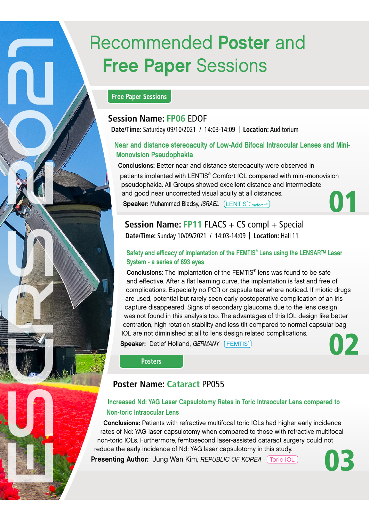# Recommended Poster and Free Paper Sessions

## **Free Paper Sessions**

## **Session Name: FP06** EDOF

**Date/Time:** Saturday 09/10/2021 / 14:03-14:09 | **Location:** Auditorium

## Near and distance stereoacuity of Low-Add Bifocal Intraocular Lenses and Mini-Monovision Pseudophakia

Conclusions: Better near and distance stereoacuity were observed in

patients implanted with LENTIS® Comfort IOL compared with mini-monovision pseudophakia. All Groups showed excellent distance and intermediate and good near uncorrected visual acuity at all distances. Speaker: Muhammad Biadsy, ISRAEL (LENTIS<sup>®</sup> Comfort<sup>teric</sup>

01

**Session Name: FP11 FLACS + CS compl + Special Date/Time:** Sunday 10/09/2021 / 14:03-14:09 | **Location:** Hall 11

## Safety and efficacy of implantation of the FEMTIS<sup>®</sup> Lens using the LENSAR™ Laser System - a series of 693 eyes

Conclusions: The implantation of the FEMTIS<sup>®</sup> lens was found to be safe and effective. After a flat learning curve, the implantation is fast and free of complications. Especially no PCR or capsule tear where noticed. If miotic drugs are used, potential but rarely seen early postoperative complication of an iris capture disappeared. Signs of secondary glaucoma due to the lens design was not found in this analysis too. The advantages of this IOL design like better centration, high rotation stability and less tilt compared to normal capsular bag IOL are not diminished at all to lens design related complications.

Speaker: Detlef Holland, GERMANY (FEMTIS®)



**Posters**

## **Poster Name: Cataract** PP055

## Increased Nd: YAG Laser Capsulotomy Rates in Toric Intraocular Lens compared to Non-toric Intraocular Lens

Conclusions: Patients with refractive multifocal toric IOLs had higher early incidence rates of Nd: YAG laser capsulotomy when compared to those with refractive multifocal non-toric IOLs. Furthermore, femtosecond laser-assisted cataract surgery could not reduce the early incidence of Nd: YAG laser capsulotomy in this study.

Presenting Author: Jung Wan Kim, REPUBLIC OF KOREA [Toric IOL]